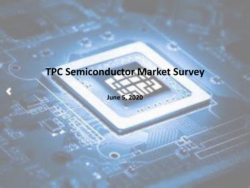### **TPC Semiconductor Market Survey**

**June 5, 2020**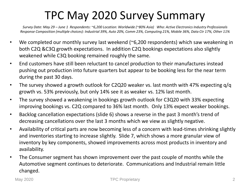### TPC May 2020 Survey Summary

*Survey Date: May 29 – June 1 Respondents: ~6,200 Location: Worldwide (~80% Asia) Who: Active Electronics Industry Professionals Response Composition (multiple choices): Industrial 39%, Auto 20%, Comm 23%, Computing 21%, Mobile 36%, Data Ctr 17%, Other 11%*

- We completed our monthly survey last weekend (~6,200 respondents) which saw weakening in both C2Q &C3Q growth expectations. In addition C2Q bookings expectations also slightly weakened while C3Q booking remained roughly the same.
- End customers have still been reluctant to cancel production to their manufactures instead pushing out production into future quarters but appear to be booking less for the near term during the past 30 days.
- The survey showed a growth outlook for C2Q20 weaker vs. last month with 47% expecting q/q growth vs. 53% previously, but only 14% see it as weaker vs. 12% last month.
- The survey showed a weakening in bookings growth outlook for C3Q20 with 33% expecting improving bookings vs. C2Q compared to 36% last month. Only 13% expect weaker bookings.
- Backlog cancellation expectations (slide 6) shows a reverse in the past 3 month's trend of decreasing cancellations over the last 3 months which we view as slightly negative.
- Availability of critical parts are now becoming less of a concern with lead-times shrinking slightly and inventories starting to increase slightly. Slide 7, which shows a more granular view of inventory by key components, showed improvements across most products in inventory and availability.
- The Consumer segment has shown improvement over the past couple of months while the Automotive segment continues to deteriorate. Communications and Industrial remain little changed.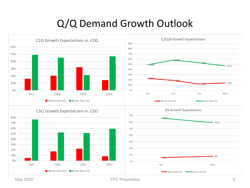#### Q/Q Demand Growth Outlook



May 2020 **TPC Proprietary** 3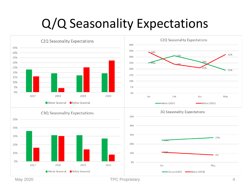## Q/Q Seasonality Expectations



May 2020 **TPC Proprietary All and All 2020 All 2020 A**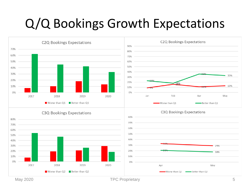## Q/Q Bookings Growth Expectations



May 2020 **TPC Proprietary** 5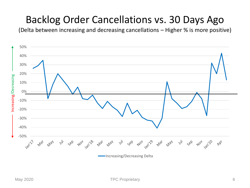#### Backlog Order Cancellations vs. 30 Days Ago

(Delta between increasing and decreasing cancellations – Higher % is more positive)

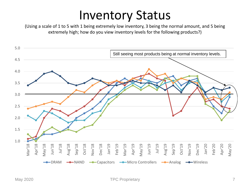## Inventory Status

(Using a scale of 1 to 5 with 1 being extremely low inventory, 3 being the normal amount, and 5 being extremely high; how do you view inventory levels for the following products?)

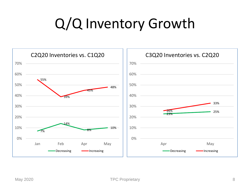# Q/Q Inventory Growth

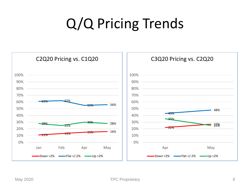# Q/Q Pricing Trends